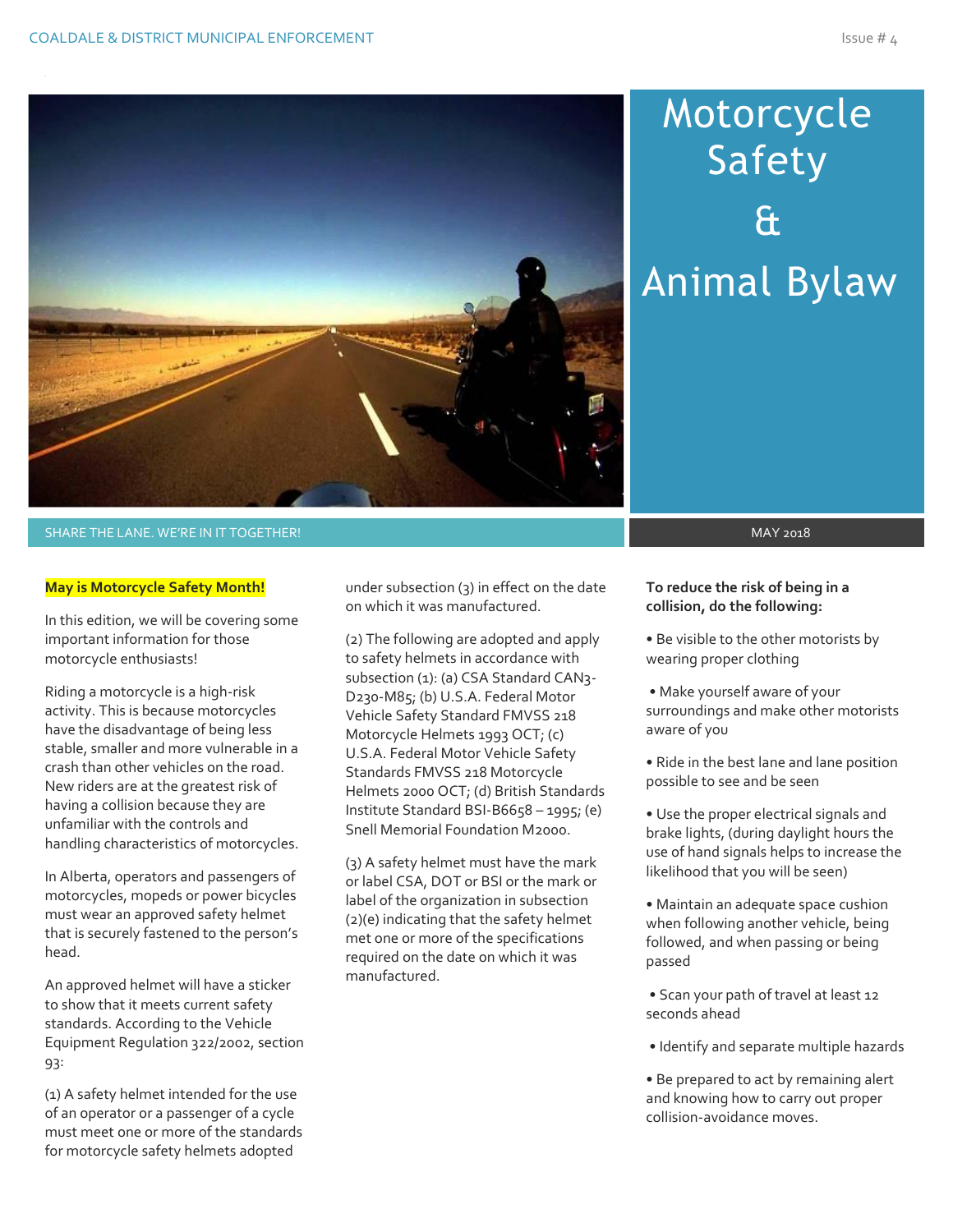

# Motorcycle Safety & Animal Bylaw

#### SHARE THE LANE. WE'RE IN IT TOGETHER! MAY 2018 A SHARE THE LANE SHARE THE LANE SHARE THE LANE 2018

#### **May is Motorcycle Safety Month!**

In this edition, we will be covering some important information for those motorcycle enthusiasts!

Riding a motorcycle is a high-risk activity. This is because motorcycles have the disadvantage of being less stable, smaller and more vulnerable in a crash than other vehicles on the road. New riders are at the greatest risk of having a collision because they are unfamiliar with the controls and handling characteristics of motorcycles.

In Alberta, operators and passengers of motorcycles, mopeds or power bicycles must wear an approved safety helmet that is securely fastened to the person's head.

An approved helmet will have a sticker to show that it meets current safety standards. According to the Vehicle Equipment Regulation 322/2002, section 93:

(1) A safety helmet intended for the use of an operator or a passenger of a cycle must meet one or more of the standards for motorcycle safety helmets adopted

under subsection (3) in effect on the date on which it was manufactured.

(2) The following are adopted and apply to safety helmets in accordance with subsection (1): (a) CSA Standard CAN3-D230-M85; (b) U.S.A. Federal Motor Vehicle Safety Standard FMVSS 218 Motorcycle Helmets 1993 OCT; (c) U.S.A. Federal Motor Vehicle Safety Standards FMVSS 218 Motorcycle Helmets 2000 OCT; (d) British Standards Institute Standard BSI-B6658 – 1995; (e) Snell Memorial Foundation M2000.

(3) A safety helmet must have the mark or label CSA, DOT or BSI or the mark or label of the organization in subsection (2)(e) indicating that the safety helmet met one or more of the specifications required on the date on which it was manufactured.

#### **To reduce the risk of being in a collision, do the following:**

- Be visible to the other motorists by wearing proper clothing
- Make yourself aware of your surroundings and make other motorists aware of you
- Ride in the best lane and lane position possible to see and be seen
- Use the proper electrical signals and brake lights, (during daylight hours the use of hand signals helps to increase the likelihood that you will be seen)
- Maintain an adequate space cushion when following another vehicle, being followed, and when passing or being passed
- Scan your path of travel at least 12 seconds ahead
- Identify and separate multiple hazards
- Be prepared to act by remaining alert and knowing how to carry out proper collision-avoidance moves.